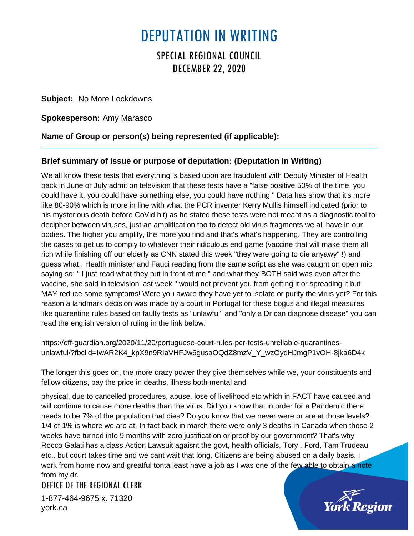## DEPUTATION IN WRITING

## SPECIAL REGIONAL COUNCIL DECEMBER 22, 2020

**Subject:** No More Lockdowns

**Spokesperson:** Amy Marasco

**Name of Group or person(s) being represented (if applicable):**

## **Brief summary of issue or purpose of deputation: (Deputation in Writing)**

We all know these tests that everything is based upon are fraudulent with Deputy Minister of Health back in June or July admit on television that these tests have a "false positive 50% of the time, you could have it, you could have something else, you could have nothing." Data has show that it's more like 80-90% which is more in line with what the PCR inventer Kerry Mullis himself indicated (prior to his mysterious death before CoVid hit) as he stated these tests were not meant as a diagnostic tool to decipher between viruses, just an amplification too to detect old virus fragments we all have in our bodies. The higher you amplify, the more you find and that's what's happening. They are controlling the cases to get us to comply to whatever their ridiculous end game (vaccine that will make them all rich while finishing off our elderly as CNN stated this week "they were going to die anyawy" !) and guess what.. Health minister and Fauci reading from the same script as she was caught on open mic saying so: " I just read what they put in front of me " and what they BOTH said was even after the vaccine, she said in television last week " would not prevent you from getting it or spreading it but MAY reduce some symptoms! Were you aware they have yet to isolate or purify the virus yet? For this reason a landmark decision was made by a court in Portugal for these bogus and illegal measures like quarentine rules based on faulty tests as "unlawful" and "only a Dr can diagnose disease" you can read the english version of ruling in the link below:

https://off-guardian.org/2020/11/20/portuguese-court-rules-pcr-tests-unreliable-quarantinesunlawful/?fbclid=IwAR2K4\_kpX9n9RIaVHFJw6gusaOQdZ8mzV\_Y\_wzOydHJmgP1vOH-8jka6D4k

The longer this goes on, the more crazy power they give themselves while we, your constituents and fellow citizens, pay the price in deaths, illness both mental and

physical, due to cancelled procedures, abuse, lose of livelihood etc which in FACT have caused and will continue to cause more deaths than the virus. Did you know that in order for a Pandemic there needs to be 7% of the population that dies? Do you know that we never were or are at those levels? 1/4 of 1% is where we are at. In fact back in march there were only 3 deaths in Canada when those 2 weeks have turned into 9 months with zero justification or proof by our government? That's why Rocco Galati has a class Action Lawsuit agaisnt the govt, health officials, Tory , Ford, Tam Trudeau etc.. but court takes time and we cant wait that long. Citizens are being abused on a daily basis. I work from home now and greatful tonta least have a job as I was one of the few able to obtain a note from my dr.

OFFICE OF THE REGIONAL CLERK 1-877-464-9675 x. 71320 york.ca

**York Region**